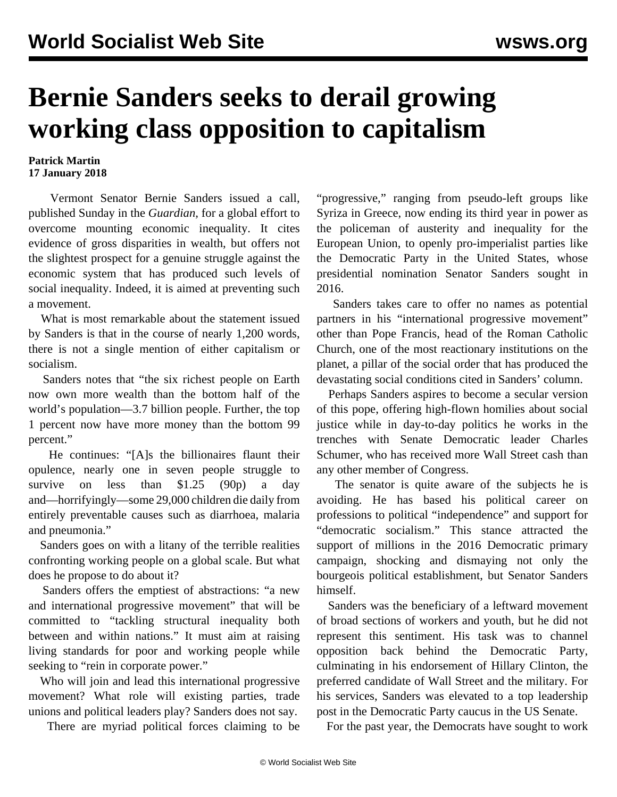## **Bernie Sanders seeks to derail growing working class opposition to capitalism**

## **Patrick Martin 17 January 2018**

 Vermont Senator Bernie Sanders issued a call, published Sunday in the *Guardian,* for a global effort to overcome mounting economic inequality. It cites evidence of gross disparities in wealth, but offers not the slightest prospect for a genuine struggle against the economic system that has produced such levels of social inequality. Indeed, it is aimed at preventing such a movement.

 What is most remarkable about the statement issued by Sanders is that in the course of nearly 1,200 words, there is not a single mention of either capitalism or socialism.

 Sanders notes that "the six richest people on Earth now own more wealth than the bottom half of the world's population—3.7 billion people. Further, the top 1 percent now have more money than the bottom 99 percent."

 He continues: "[A]s the billionaires flaunt their opulence, nearly one in seven people struggle to survive on less than \$1.25 (90p) a day and—horrifyingly—some 29,000 children die daily from entirely preventable causes such as diarrhoea, malaria and pneumonia."

 Sanders goes on with a litany of the terrible realities confronting working people on a global scale. But what does he propose to do about it?

 Sanders offers the emptiest of abstractions: "a new and international progressive movement" that will be committed to "tackling structural inequality both between and within nations." It must aim at raising living standards for poor and working people while seeking to "rein in corporate power."

 Who will join and lead this international progressive movement? What role will existing parties, trade unions and political leaders play? Sanders does not say.

There are myriad political forces claiming to be

"progressive," ranging from pseudo-left groups like Syriza in Greece, now ending its third year in power as the policeman of austerity and inequality for the European Union, to openly pro-imperialist parties like the Democratic Party in the United States, whose presidential nomination Senator Sanders sought in 2016.

 Sanders takes care to offer no names as potential partners in his "international progressive movement" other than Pope Francis, head of the Roman Catholic Church, one of the most reactionary institutions on the planet, a pillar of the social order that has produced the devastating social conditions cited in Sanders' column.

 Perhaps Sanders aspires to become a secular version of this pope, offering high-flown homilies about social justice while in day-to-day politics he works in the trenches with Senate Democratic leader Charles Schumer, who has received more Wall Street cash than any other member of Congress.

 The senator is quite aware of the subjects he is avoiding. He has based his political career on professions to political "independence" and support for "democratic socialism." This stance attracted the support of millions in the 2016 Democratic primary campaign, shocking and dismaying not only the bourgeois political establishment, but Senator Sanders himself.

 Sanders was the beneficiary of a leftward movement of broad sections of workers and youth, but he did not represent this sentiment. His task was to channel opposition back behind the Democratic Party, culminating in his endorsement of Hillary Clinton, the preferred candidate of Wall Street and the military. For his services, Sanders was elevated to a top leadership post in the Democratic Party caucus in the US Senate.

For the past year, the Democrats have sought to work